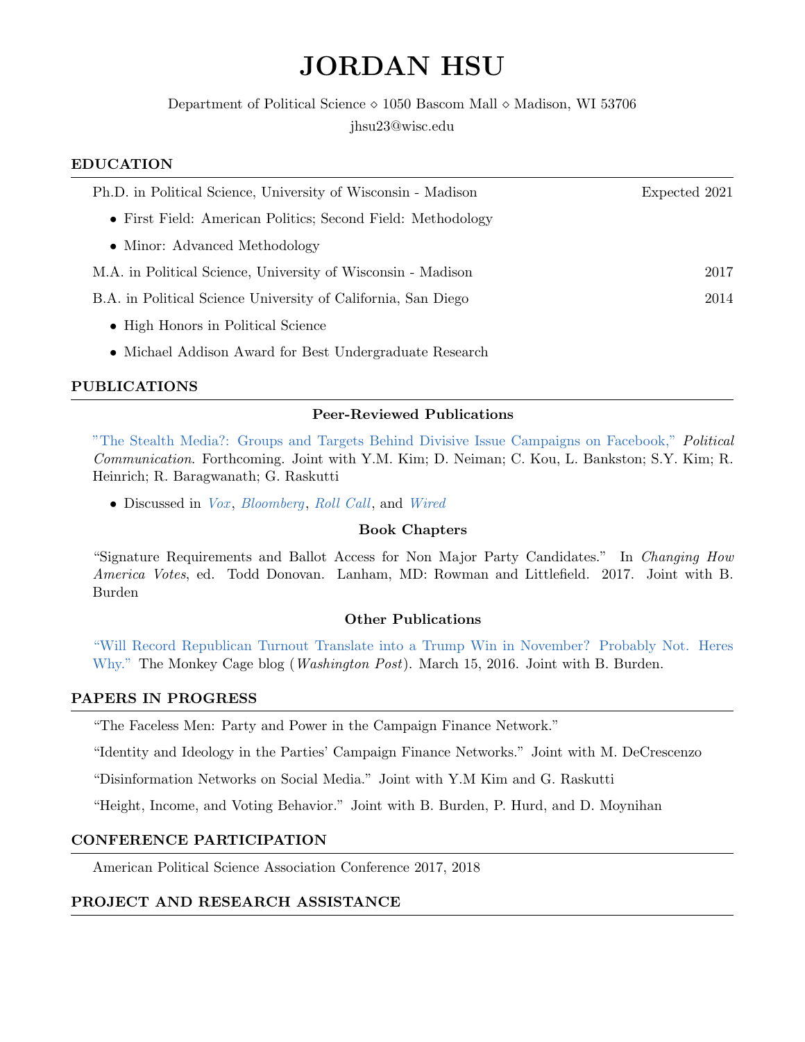# JORDAN HSU

Department of Political Science  $\diamond$  1050 Bascom Mall  $\diamond$  Madison, WI 53706 jhsu23@wisc.edu

### EDUCATION

| Ph.D. in Political Science, University of Wisconsin - Madison | Expected 2021 |
|---------------------------------------------------------------|---------------|
| • First Field: American Politics; Second Field: Methodology   |               |
| • Minor: Advanced Methodology                                 |               |
| M.A. in Political Science, University of Wisconsin - Madison  | 2017          |
| B.A. in Political Science University of California, San Diego | 2014          |
| • High Honors in Political Science                            |               |
| • Michael Addison Award for Best Undergraduate Research       |               |

## PUBLICATIONS

#### Peer-Reviewed Publications

["The Stealth Media?: Groups and Targets Behind Divisive Issue Campaigns on Facebook,"](https://www.tandfonline.com/doi/full/10.1080/10584609.2018.1476425#.W0eFTfi4z_0.twitter) Political Communication. Forthcoming. Joint with Y.M. Kim; D. Neiman; C. Kou, L. Bankston; S.Y. Kim; R. Heinrich; R. Baragwanath; G. Raskutti

• Discussed in [Vox](https://www.vox.com/policy-and-politics/2018/4/18/17247010/what-is-going-on-with-facebook-russia-ads), [Bloomberg](https://www.bloomberg.com/news/articles/2018-04-16/most-of-divisive-facebook-ads-paid-for-by-suspicious-groups), [Roll Call](https://www.rollcall.com/news/policy/deeper-look-2016-facebook-ads-targeting-pennsylvania-wisconsin), and [Wired](https://www.wired.com/story/russian-facebook-ads-targeted-us-voters-before-2016-election/)

#### Book Chapters

"Signature Requirements and Ballot Access for Non Major Party Candidates." In Changing How America Votes, ed. Todd Donovan. Lanham, MD: Rowman and Littlefield. 2017. Joint with B. Burden

#### Other Publications

["Will Record Republican Turnout Translate into a Trump Win in November? Probably Not. Heres](https://www.washingtonpost.com/news/monkey-cage/wp/2016/03/15/will-record-republican-turnout-in-the-primaries-translate-into-a-trump-win-in-november-probably-not-heres-why/) [Why."](https://www.washingtonpost.com/news/monkey-cage/wp/2016/03/15/will-record-republican-turnout-in-the-primaries-translate-into-a-trump-win-in-november-probably-not-heres-why/) The Monkey Cage blog (*Washington Post*). March 15, 2016. Joint with B. Burden.

## PAPERS IN PROGRESS

"The Faceless Men: Party and Power in the Campaign Finance Network."

"Identity and Ideology in the Parties' Campaign Finance Networks." Joint with M. DeCrescenzo

"Disinformation Networks on Social Media." Joint with Y.M Kim and G. Raskutti

"Height, Income, and Voting Behavior." Joint with B. Burden, P. Hurd, and D. Moynihan

#### CONFERENCE PARTICIPATION

American Political Science Association Conference 2017, 2018

## PROJECT AND RESEARCH ASSISTANCE